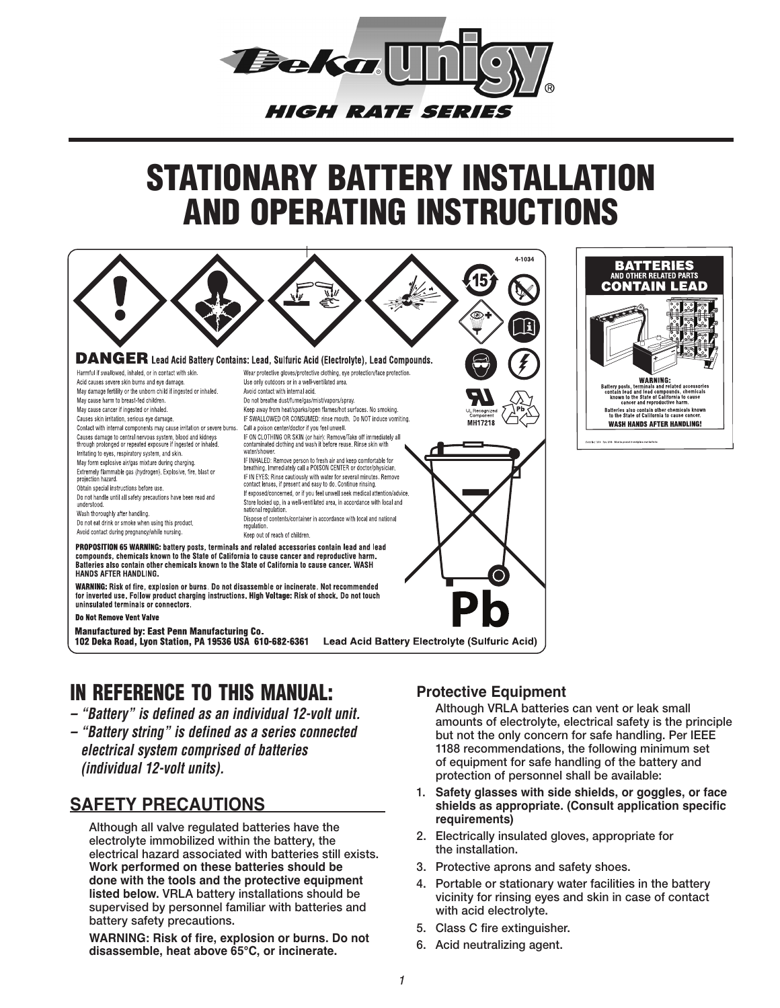

# STATIONARY BATTERY INSTALLATION AND OPERATING INSTRUCTIONS





## IN REFERENCE TO THIS MANUAL:

- *"Battery" is defined as an individual 12-volt unit.*
- *"Battery string" is defined as a series connected electrical system comprised of batteries (individual 12-volt units).*

### **SAFETY PRECAUTIONS**

 Although all valve regulated batteries have the electrolyte immobilized within the battery, the electrical hazard associated with batteries still exists. **Work performed on these batteries should be done with the tools and the protective equipment listed below.** VRLA battery installations should be supervised by personnel familiar with batteries and battery safety precautions.

 **WARNING: Risk of fire, explosion or burns. Do not disassemble, heat above 65°C, or incinerate.**

### **Protective Equipment**

 Although VRLA batteries can vent or leak small amounts of electrolyte, electrical safety is the principle but not the only concern for safe handling. Per IEEE 1188 recommendations, the following minimum set of equipment for safe handling of the battery and protection of personnel shall be available:

- 1. **Safety glasses with side shields, or goggles, or face shields as appropriate. (Consult application specific requirements)**
- 2. Electrically insulated gloves, appropriate for the installation.
- 3. Protective aprons and safety shoes.
- 4. Portable or stationary water facilities in the battery vicinity for rinsing eyes and skin in case of contact with acid electrolyte.
- 5. Class C fire extinguisher.
- 6. Acid neutralizing agent.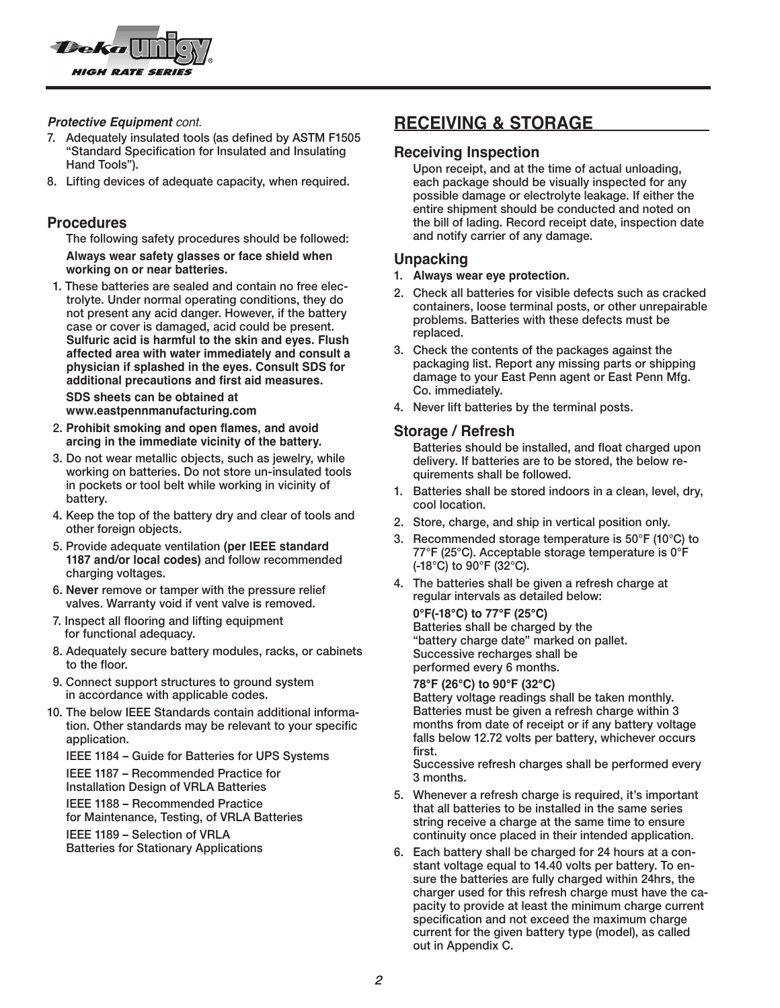

#### *Protective Equipment cont.*

- 7. Adequately insulated tools (as defined by ASTM F1505 "Standard Specification for Insulated and Insulating Hand Tools").
- 8. Lifting devices of adequate capacity, when required.

#### **Procedures**

 The following safety procedures should be followed: **Always wear safety glasses or face shield when working on or near batteries.**

1. These batteries are sealed and contain no free electrolyte. Under normal operating conditions, they do not present any acid danger. However, if the battery case or cover is damaged, acid could be present. **Sulfuric acid is harmful to the skin and eyes. Flush affected area with water immediately and consult a physician if splashed in the eyes. Consult SDS for additional precautions and first aid measures.** 

 **SDS sheets can be obtained at www.eastpennmanufacturing.com**

- 2. **Prohibit smoking and open flames, and avoid arcing in the immediate vicinity of the battery.**
- 3. Do not wear metallic objects, such as jewelry, while working on batteries. Do not store un-insulated tools in pockets or tool belt while working in vicinity of battery.
- 4. Keep the top of the battery dry and clear of tools and other foreign objects.
- 5. Provide adequate ventilation **(per IEEE standard 1187 and/or local codes)** and follow recommended charging voltages.
- 6. **Never** remove or tamper with the pressure relief valves. Warranty void if vent valve is removed.
- 7. Inspect all flooring and lifting equipment for functional adequacy.
- 8. Adequately secure battery modules, racks, or cabinets to the floor.
- 9. Connect support structures to ground system in accordance with applicable codes.
- 10. The below IEEE Standards contain additional information. Other standards may be relevant to your specific application.

IEEE 1184 – Guide for Batteries for UPS Systems

IEEE 1187 – Recommended Practice for

Installation Design of VRLA Batteries

 IEEE 1188 – Recommended Practice for Maintenance, Testing, of VRLA Batteries

IEEE 1189 – Selection of VRLA

Batteries for Stationary Applications

### **RECEIVING & STORAGE**

#### **Receiving Inspection**

 Upon receipt, and at the time of actual unloading, each package should be visually inspected for any possible damage or electrolyte leakage. If either the entire shipment should be conducted and noted on the bill of lading. Record receipt date, inspection date and notify carrier of any damage.

#### **Unpacking**

- 1. **Always wear eye protection.**
- 2. Check all batteries for visible defects such as cracked containers, loose terminal posts, or other unrepairable problems. Batteries with these defects must be replaced.
- 3. Check the contents of the packages against the packaging list. Report any missing parts or shipping damage to your East Penn agent or East Penn Mfg. Co. immediately.
- 4. Never lift batteries by the terminal posts.

#### **Storage / Refresh**

 Batteries should be installed, and float charged upon delivery. If batteries are to be stored, the below requirements shall be followed.

- 1. Batteries shall be stored indoors in a clean, level, dry, cool location.
- 2. Store, charge, and ship in vertical position only.
- 3. Recommended storage temperature is 50°F (10°C) to 77°F (25°C). Acceptable storage temperature is 0°F (-18°C) to 90°F (32°C).
- 4. The batteries shall be given a refresh charge at regular intervals as detailed below:

#### **0°F(-18°C) to 77°F (25°C)**

Batteries shall be charged by the "battery charge date" marked on pallet. Successive recharges shall be performed every 6 months.

#### **78°F (26°C) to 90°F (32°C)**

Battery voltage readings shall be taken monthly. Batteries must be given a refresh charge within 3 months from date of receipt or if any battery voltage falls below 12.72 volts per battery, whichever occurs first.

Successive refresh charges shall be performed every 3 months.

- 5. Whenever a refresh charge is required, it's important that all batteries to be installed in the same series string receive a charge at the same time to ensure continuity once placed in their intended application.
- 6. Each battery shall be charged for 24 hours at a constant voltage equal to 14.40 volts per battery. To ensure the batteries are fully charged within 24hrs, the charger used for this refresh charge must have the capacity to provide at least the minimum charge current specification and not exceed the maximum charge current for the given battery type (model), as called out in Appendix C.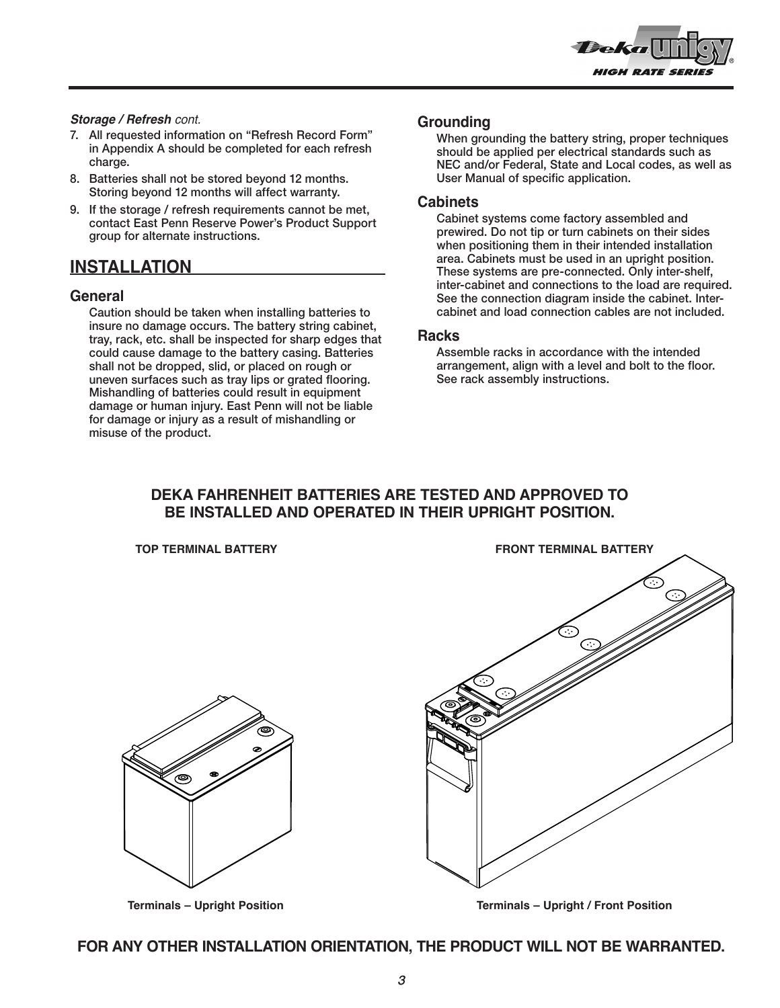

*Storage / Refresh cont.*

- 7. All requested information on "Refresh Record Form" in Appendix A should be completed for each refresh charge.
- 8. Batteries shall not be stored beyond 12 months. Storing beyond 12 months will affect warranty.
- 9. If the storage / refresh requirements cannot be met, contact East Penn Reserve Power's Product Support group for alternate instructions.

### **INSTALLATION**

#### **General**

 Caution should be taken when installing batteries to insure no damage occurs. The battery string cabinet, tray, rack, etc. shall be inspected for sharp edges that could cause damage to the battery casing. Batteries shall not be dropped, slid, or placed on rough or uneven surfaces such as tray lips or grated flooring. Mishandling of batteries could result in equipment damage or human injury. East Penn will not be liable for damage or injury as a result of mishandling or misuse of the product.

#### **Grounding**

 When grounding the battery string, proper techniques should be applied per electrical standards such as NEC and/or Federal, State and Local codes, as well as User Manual of specific application.

#### **Cabinets**

 Cabinet systems come factory assembled and prewired. Do not tip or turn cabinets on their sides when positioning them in their intended installation area. Cabinets must be used in an upright position. These systems are pre-connected. Only inter-shelf, inter-cabinet and connections to the load are required. See the connection diagram inside the cabinet. Intercabinet and load connection cables are not included.

#### **Racks**

 Assemble racks in accordance with the intended arrangement, align with a level and bolt to the floor. See rack assembly instructions.

### **DEKA FAHRENHEIT BATTERIES ARE TESTED AND APPROVED TO BE INSTALLED AND OPERATED IN THEIR UPRIGHT POSITION.**





**Terminals – Upright Position Terminals – Upright / Front Position**

**FOR ANY OTHER INSTALLATION ORIENTATION, THE PRODUCT WILL NOT BE WARRANTED.**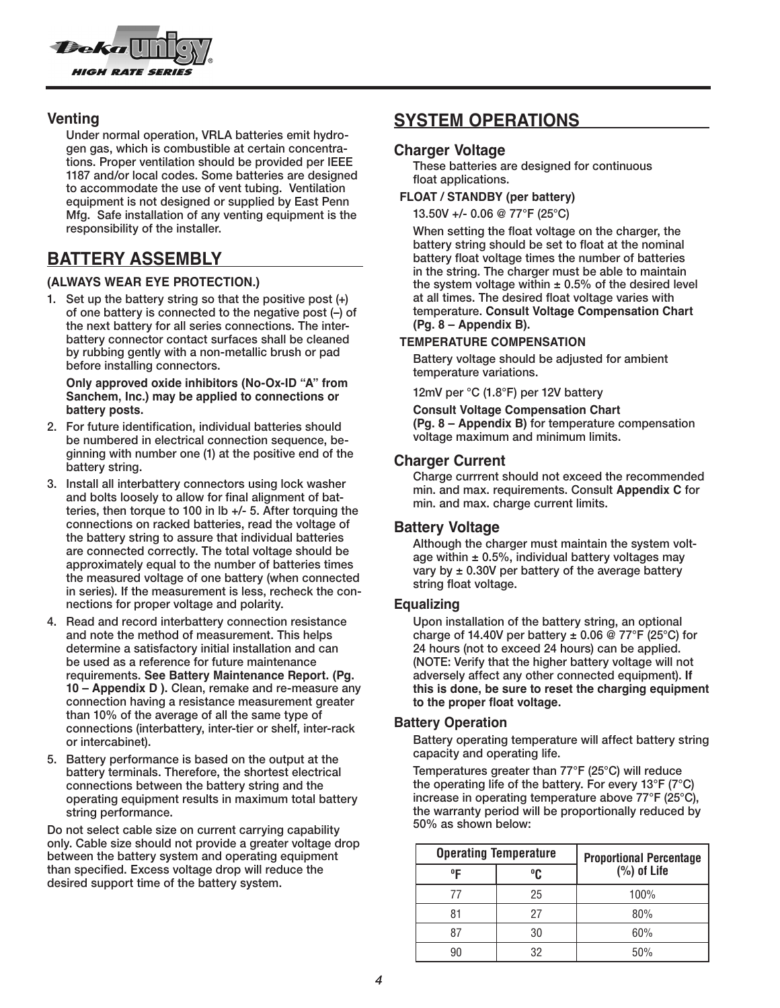

#### **Venting**

 Under normal operation, VRLA batteries emit hydrogen gas, which is combustible at certain concentrations. Proper ventilation should be provided per IEEE 1187 and/or local codes. Some batteries are designed to accommodate the use of vent tubing. Ventilation equipment is not designed or supplied by East Penn Mfg. Safe installation of any venting equipment is the responsibility of the installer.

### **BATTERY ASSEMBLY**

#### **(ALWAYS WEAR EYE PROTECTION.)**

1. Set up the battery string so that the positive post (+) of one battery is connected to the negative post (–) of the next battery for all series connections. The interbattery connector contact surfaces shall be cleaned by rubbing gently with a non-metallic brush or pad before installing connectors.

 **Only approved oxide inhibitors (No-Ox-ID "A" from Sanchem, Inc.) may be applied to connections or battery posts.**

- 2. For future identification, individual batteries should be numbered in electrical connection sequence, beginning with number one (1) at the positive end of the battery string.
- 3. Install all interbattery connectors using lock washer and bolts loosely to allow for final alignment of batteries, then torque to 100 in lb +/- 5. After torquing the connections on racked batteries, read the voltage of the battery string to assure that individual batteries are connected correctly. The total voltage should be approximately equal to the number of batteries times the measured voltage of one battery (when connected in series). If the measurement is less, recheck the connections for proper voltage and polarity.
- 4. Read and record interbattery connection resistance and note the method of measurement. This helps determine a satisfactory initial installation and can be used as a reference for future maintenance requirements. **See Battery Maintenance Report. (Pg. 10 – Appendix D ).** Clean, remake and re-measure any connection having a resistance measurement greater than 10% of the average of all the same type of connections (interbattery, inter-tier or shelf, inter-rack or intercabinet).
- 5. Battery performance is based on the output at the battery terminals. Therefore, the shortest electrical connections between the battery string and the operating equipment results in maximum total battery string performance.

Do not select cable size on current carrying capability only. Cable size should not provide a greater voltage drop between the battery system and operating equipment than specified. Excess voltage drop will reduce the desired support time of the battery system.

### **SYSTEM OPERATIONS**

#### **Charger Voltage**

 These batteries are designed for continuous float applications.

#### **FLOAT / STANDBY (per battery)**

13.50V +/- 0.06 @ 77°F (25°C)

 When setting the float voltage on the charger, the battery string should be set to float at the nominal battery float voltage times the number of batteries in the string. The charger must be able to maintain the system voltage within  $\pm$  0.5% of the desired level at all times. The desired float voltage varies with temperature. **Consult Voltage Compensation Chart (Pg. 8 – Appendix B).**

#### **TEMPERATURE COMPENSATION**

 Battery voltage should be adjusted for ambient temperature variations.

12mV per °C (1.8°F) per 12V battery

 **Consult Voltage Compensation Chart (Pg. 8 – Appendix B)** for temperature compensation voltage maximum and minimum limits.

#### **Charger Current**

 Charge currrent should not exceed the recommended min. and max. requirements. Consult **Appendix C** for min. and max. charge current limits.

#### **Battery Voltage**

 Although the charger must maintain the system voltage within  $\pm$  0.5%, individual battery voltages may vary by  $\pm$  0.30V per battery of the average battery string float voltage.

#### **Equalizing**

 Upon installation of the battery string, an optional charge of 14.40V per battery  $\pm$  0.06 @ 77°F (25°C) for 24 hours (not to exceed 24 hours) can be applied. (NOTE: Verify that the higher battery voltage will not adversely affect any other connected equipment). **If this is done, be sure to reset the charging equipment to the proper float voltage.**

#### **Battery Operation**

 Battery operating temperature will affect battery string capacity and operating life.

 Temperatures greater than 77°F (25°C) will reduce the operating life of the battery. For every 13°F (7°C) increase in operating temperature above 77°F (25°C), the warranty period will be proportionally reduced by 50% as shown below:

|     | <b>Operating Temperature</b> | <b>Proportional Percentage</b> |  |  |  |  |  |
|-----|------------------------------|--------------------------------|--|--|--|--|--|
| 0 ⊑ | °C                           | $(%)$ of Life                  |  |  |  |  |  |
| 77  | 25                           | $100\%$                        |  |  |  |  |  |
| 81  | 27                           | 80%                            |  |  |  |  |  |
| 8.  | 30                           | 60%                            |  |  |  |  |  |
|     | つつ                           | 50%                            |  |  |  |  |  |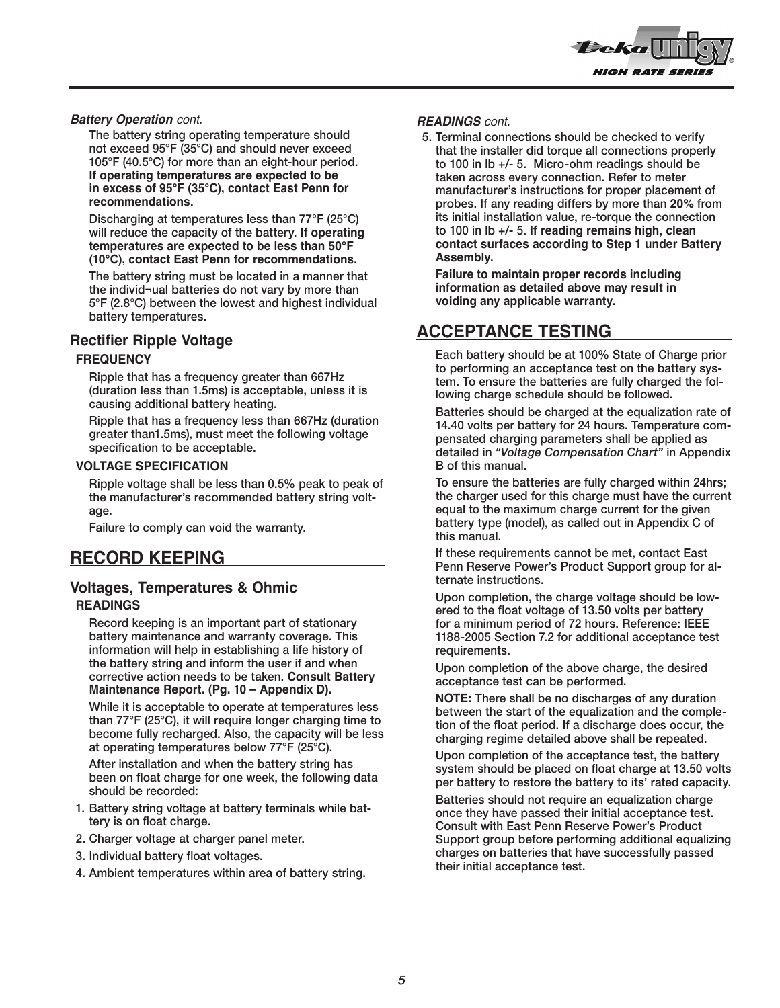

#### *Battery Operation cont.*

 The battery string operating temperature should not exceed 95°F (35°C) and should never exceed 105°F (40.5°C) for more than an eight-hour period. **If operating temperatures are expected to be in excess of 95°F (35°C), contact East Penn for recommendations.**

 Discharging at temperatures less than 77°F (25°C) will reduce the capacity of the battery. **If operating temperatures are expected to be less than 50°F (10°C), contact East Penn for recommendations.**

 The battery string must be located in a manner that the individ¬ual batteries do not vary by more than 5°F (2.8°C) between the lowest and highest individual battery temperatures.

#### **Rectifier Ripple Voltage**

#### **FREQUENCY**

 Ripple that has a frequency greater than 667Hz (duration less than 1.5ms) is acceptable, unless it is causing additional battery heating.

 Ripple that has a frequency less than 667Hz (duration greater than1.5ms), must meet the following voltage specification to be acceptable.

#### **VOLTAGE SPECIFICATION**

 Ripple voltage shall be less than 0.5% peak to peak of the manufacturer's recommended battery string voltage.

Failure to comply can void the warranty.

### **RECORD KEEPING**

#### **Voltages, Temperatures & Ohmic READINGS**

 Record keeping is an important part of stationary battery maintenance and warranty coverage. This information will help in establishing a life history of the battery string and inform the user if and when corrective action needs to be taken. **Consult Battery Maintenance Report. (Pg. 10 – Appendix D).**

 While it is acceptable to operate at temperatures less than 77°F (25°C), it will require longer charging time to become fully recharged. Also, the capacity will be less at operating temperatures below 77°F (25°C).

 After installation and when the battery string has been on float charge for one week, the following data should be recorded:

- 1. Battery string voltage at battery terminals while battery is on float charge.
- 2. Charger voltage at charger panel meter.
- 3. Individual battery float voltages.
- 4. Ambient temperatures within area of battery string.

#### *READINGS cont.*

5. Terminal connections should be checked to verify that the installer did torque all connections properly to 100 in lb +/- 5. Micro-ohm readings should be taken across every connection. Refer to meter manufacturer's instructions for proper placement of probes. If any reading differs by more than **20%** from its initial installation value, re-torque the connection to 100 in lb +/- 5. **If reading remains high, clean contact surfaces according to Step 1 under Battery Assembly.**

 **Failure to maintain proper records including information as detailed above may result in voiding any applicable warranty.**

### **ACCEPTANCE TESTING**

 Each battery should be at 100% State of Charge prior to performing an acceptance test on the battery system. To ensure the batteries are fully charged the following charge schedule should be followed.

 Batteries should be charged at the equalization rate of 14.40 volts per battery for 24 hours. Temperature compensated charging parameters shall be applied as detailed in *"Voltage Compensation Chart"* in Appendix B of this manual.

 To ensure the batteries are fully charged within 24hrs; the charger used for this charge must have the current equal to the maximum charge current for the given battery type (model), as called out in Appendix C of this manual.

 If these requirements cannot be met, contact East Penn Reserve Power's Product Support group for alternate instructions.

 Upon completion, the charge voltage should be lowered to the float voltage of 13.50 volts per battery for a minimum period of 72 hours. Reference: IEEE 1188-2005 Section 7.2 for additional acceptance test requirements.

 Upon completion of the above charge, the desired acceptance test can be performed.

 **NOTE:** There shall be no discharges of any duration between the start of the equalization and the completion of the float period. If a discharge does occur, the charging regime detailed above shall be repeated.

 Upon completion of the acceptance test, the battery system should be placed on float charge at 13.50 volts per battery to restore the battery to its' rated capacity.

 Batteries should not require an equalization charge once they have passed their initial acceptance test. Consult with East Penn Reserve Power's Product Support group before performing additional equalizing charges on batteries that have successfully passed their initial acceptance test.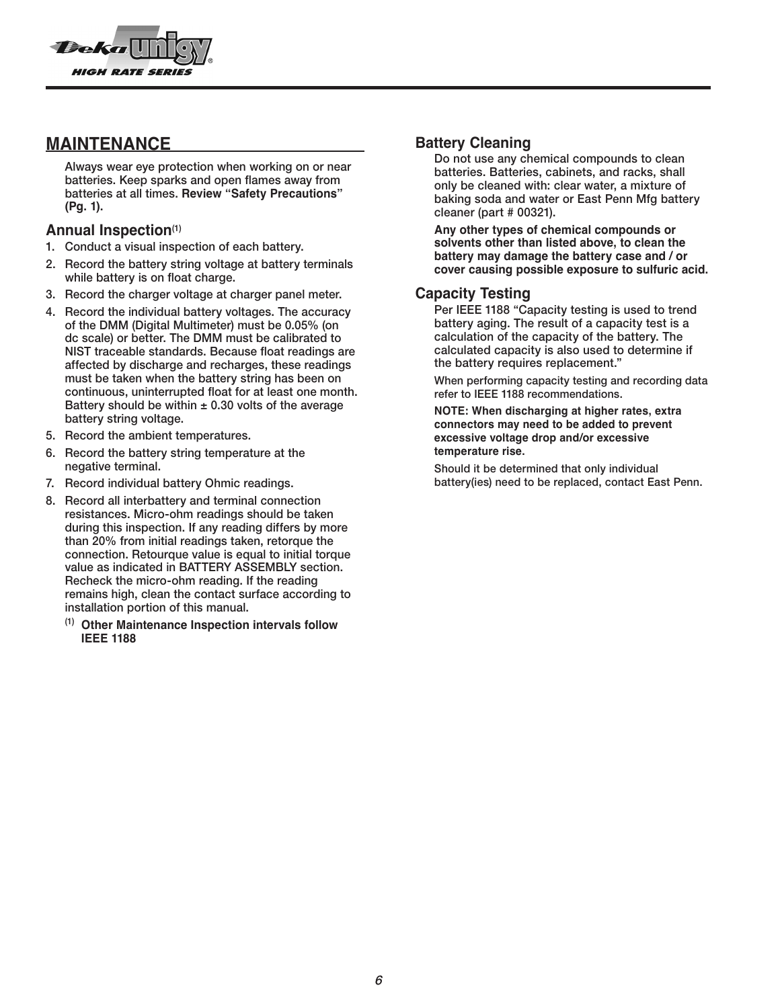

### **MAINTENANCE**

 Always wear eye protection when working on or near batteries. Keep sparks and open flames away from batteries at all times. **Review "Safety Precautions" (Pg. 1).**

#### **Annual Inspection**(1)

- 1. Conduct a visual inspection of each battery.
- 2. Record the battery string voltage at battery terminals while battery is on float charge.
- 3. Record the charger voltage at charger panel meter.
- 4. Record the individual battery voltages. The accuracy of the DMM (Digital Multimeter) must be 0.05% (on dc scale) or better. The DMM must be calibrated to NIST traceable standards. Because float readings are affected by discharge and recharges, these readings must be taken when the battery string has been on continuous, uninterrupted float for at least one month. Battery should be within  $\pm$  0.30 volts of the average battery string voltage.
- 5. Record the ambient temperatures.
- 6. Record the battery string temperature at the negative terminal.
- 7. Record individual battery Ohmic readings.
- 8. Record all interbattery and terminal connection resistances. Micro-ohm readings should be taken during this inspection. If any reading differs by more than 20% from initial readings taken, retorque the connection. Retourque value is equal to initial torque value as indicated in BATTERY ASSEMBLY section. Recheck the micro-ohm reading. If the reading remains high, clean the contact surface according to installation portion of this manual.
	- (1) **Other Maintenance Inspection intervals follow IEEE 1188**

#### **Battery Cleaning**

 Do not use any chemical compounds to clean batteries. Batteries, cabinets, and racks, shall only be cleaned with: clear water, a mixture of baking soda and water or East Penn Mfg battery cleaner (part # 00321).

 **Any other types of chemical compounds or solvents other than listed above, to clean the battery may damage the battery case and / or cover causing possible exposure to sulfuric acid.** 

#### **Capacity Testing**

 Per IEEE 1188 "Capacity testing is used to trend battery aging. The result of a capacity test is a calculation of the capacity of the battery. The calculated capacity is also used to determine if the battery requires replacement."

 When performing capacity testing and recording data refer to IEEE 1188 recommendations.

**NOTE: When discharging at higher rates, extra connectors may need to be added to prevent excessive voltage drop and/or excessive temperature rise.**

Should it be determined that only individual battery(ies) need to be replaced, contact East Penn.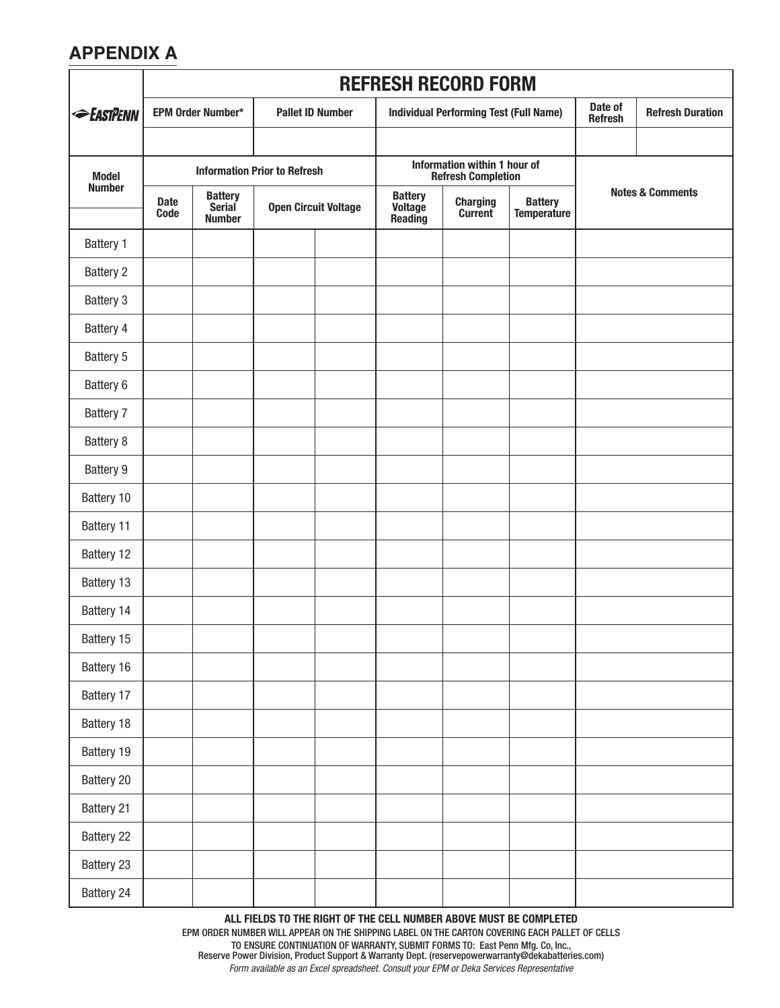### **APPENDIX A**

|                               | <b>REFRESH RECORD FORM</b>                                              |                   |                                     |                             |                                             |                                                                           |                           |                             |  |  |  |  |  |  |
|-------------------------------|-------------------------------------------------------------------------|-------------------|-------------------------------------|-----------------------------|---------------------------------------------|---------------------------------------------------------------------------|---------------------------|-----------------------------|--|--|--|--|--|--|
| <b>EASTPENN</b>               |                                                                         | EPM Order Number* |                                     | <b>Pallet ID Number</b>     |                                             | <b>Individual Performing Test (Full Name)</b>                             | Date of<br><b>Refresh</b> | <b>Refresh Duration</b>     |  |  |  |  |  |  |
| <b>Model</b><br><b>Number</b> |                                                                         |                   | <b>Information Prior to Refresh</b> |                             |                                             | Information within 1 hour of<br><b>Refresh Completion</b>                 |                           |                             |  |  |  |  |  |  |
|                               | <b>Battery</b><br><b>Date</b><br><b>Serial</b><br>Code<br><b>Number</b> |                   |                                     | <b>Open Circuit Voltage</b> | <b>Battery</b><br><b>Voltage</b><br>Reading | <b>Charging</b><br><b>Current</b><br><b>Battery</b><br><b>Temperature</b> |                           | <b>Notes &amp; Comments</b> |  |  |  |  |  |  |
| Battery 1                     |                                                                         |                   |                                     |                             |                                             |                                                                           |                           |                             |  |  |  |  |  |  |
| <b>Battery 2</b>              |                                                                         |                   |                                     |                             |                                             |                                                                           |                           |                             |  |  |  |  |  |  |
| <b>Battery 3</b>              |                                                                         |                   |                                     |                             |                                             |                                                                           |                           |                             |  |  |  |  |  |  |
| Battery 4                     |                                                                         |                   |                                     |                             |                                             |                                                                           |                           |                             |  |  |  |  |  |  |
| Battery 5                     |                                                                         |                   |                                     |                             |                                             |                                                                           |                           |                             |  |  |  |  |  |  |
| Battery 6                     |                                                                         |                   |                                     |                             |                                             |                                                                           |                           |                             |  |  |  |  |  |  |
| <b>Battery 7</b>              |                                                                         |                   |                                     |                             |                                             |                                                                           |                           |                             |  |  |  |  |  |  |
| <b>Battery 8</b>              |                                                                         |                   |                                     |                             |                                             |                                                                           |                           |                             |  |  |  |  |  |  |
| Battery 9                     |                                                                         |                   |                                     |                             |                                             |                                                                           |                           |                             |  |  |  |  |  |  |
| Battery 10                    |                                                                         |                   |                                     |                             |                                             |                                                                           |                           |                             |  |  |  |  |  |  |
| Battery 11                    |                                                                         |                   |                                     |                             |                                             |                                                                           |                           |                             |  |  |  |  |  |  |
| Battery 12                    |                                                                         |                   |                                     |                             |                                             |                                                                           |                           |                             |  |  |  |  |  |  |
| Battery 13                    |                                                                         |                   |                                     |                             |                                             |                                                                           |                           |                             |  |  |  |  |  |  |
| Battery 14                    |                                                                         |                   |                                     |                             |                                             |                                                                           |                           |                             |  |  |  |  |  |  |
| Battery 15                    |                                                                         |                   |                                     |                             |                                             |                                                                           |                           |                             |  |  |  |  |  |  |
| Battery 16                    |                                                                         |                   |                                     |                             |                                             |                                                                           |                           |                             |  |  |  |  |  |  |
| Battery 17                    |                                                                         |                   |                                     |                             |                                             |                                                                           |                           |                             |  |  |  |  |  |  |
| Battery 18                    |                                                                         |                   |                                     |                             |                                             |                                                                           |                           |                             |  |  |  |  |  |  |
| Battery 19                    |                                                                         |                   |                                     |                             |                                             |                                                                           |                           |                             |  |  |  |  |  |  |
| Battery 20                    |                                                                         |                   |                                     |                             |                                             |                                                                           |                           |                             |  |  |  |  |  |  |
| Battery 21                    |                                                                         |                   |                                     |                             |                                             |                                                                           |                           |                             |  |  |  |  |  |  |
| Battery 22                    |                                                                         |                   |                                     |                             |                                             |                                                                           |                           |                             |  |  |  |  |  |  |
| Battery 23                    |                                                                         |                   |                                     |                             |                                             |                                                                           |                           |                             |  |  |  |  |  |  |
| Battery 24                    |                                                                         |                   |                                     |                             |                                             |                                                                           |                           |                             |  |  |  |  |  |  |

ALL FIELDS TO THE RIGHT OF THE CELL NUMBER ABOVE MUST BE COMPLETED EPM ORDER NUMBER WILL APPEAR ON THE SHIPPING LABEL ON THE CARTON COVERING EACH PALLET OF CELLS TO ENSURE CONTINUATION OF WARRANTY, SUBMIT FORMS TO: East Penn Mfg. Co, Inc., Reserve Power Division, Product Support & Warranty Dept. (reservepowerwarranty@dekabatteries.com) *Form available as an Excel spreadsheet. Consult your EPM or Deka Services Representative*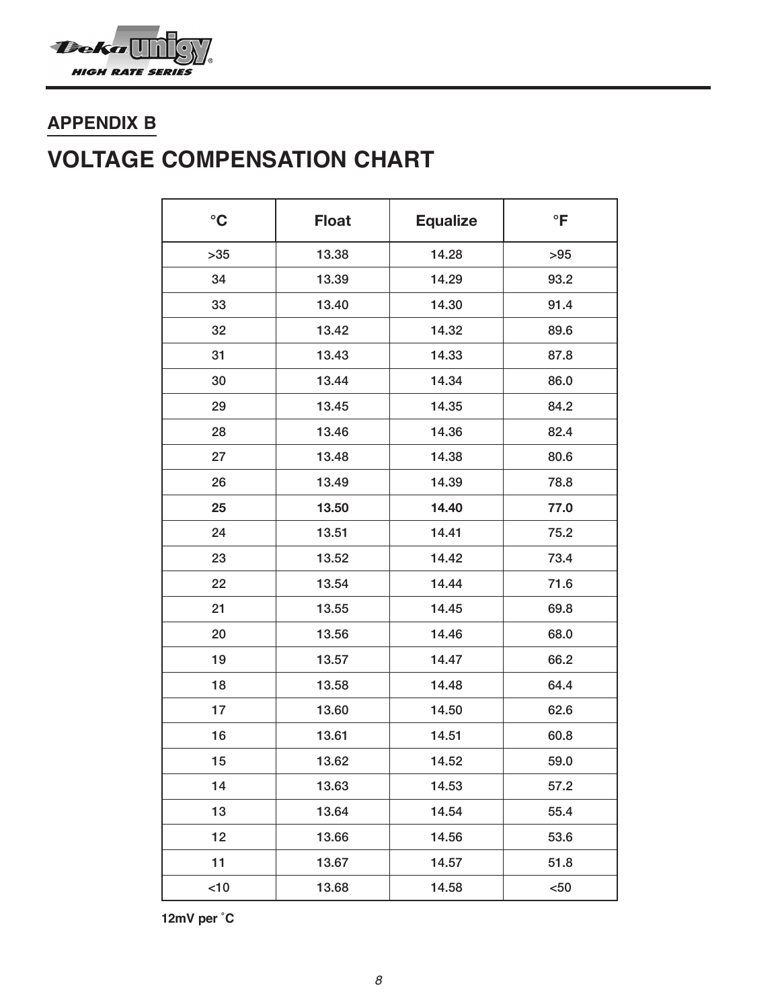

### **APPENDIX B**

# **VOLTAGE COMPENSATION CHART**

| $\rm ^{\circ}C$ | <b>Float</b> | <b>Equalize</b> | $\mathsf{P}$ |  |  |  |
|-----------------|--------------|-----------------|--------------|--|--|--|
| $>35$           | 13.38        | 14.28           | >95          |  |  |  |
| 34              | 13.39        | 14.29           | 93.2         |  |  |  |
| 33              | 13.40        | 14.30           | 91.4         |  |  |  |
| 32              | 13.42        | 14.32           | 89.6         |  |  |  |
| 31              | 13.43        | 14.33           | 87.8         |  |  |  |
| 30              | 13.44        | 14.34           | 86.0         |  |  |  |
| 29              | 13.45        | 14.35           | 84.2         |  |  |  |
| 28              | 13.46        | 14.36           | 82.4         |  |  |  |
| 27              | 13.48        | 14.38           | 80.6         |  |  |  |
| 26              | 13.49        | 14.39           | 78.8         |  |  |  |
| 25              | 13.50        | 14.40           | 77.0         |  |  |  |
| 24              | 13.51        | 14.41           | 75.2         |  |  |  |
| 23              | 13.52        | 14.42           | 73.4         |  |  |  |
| 22              | 13.54        | 14.44           | 71.6         |  |  |  |
| 21              | 13.55        | 14.45           | 69.8         |  |  |  |
| 20              | 13.56        | 14.46           | 68.0         |  |  |  |
| 19              | 13.57        | 14.47           | 66.2         |  |  |  |
| 18              | 13.58        | 14.48           | 64.4         |  |  |  |
| 17              | 13.60        | 14.50           | 62.6         |  |  |  |
| 16              | 13.61        | 14.51           | 60.8         |  |  |  |
| 15              | 13.62        | 14.52           | 59.0         |  |  |  |
| 14              | 13.63        | 14.53           | 57.2         |  |  |  |
| 13              | 13.64        | 14.54           | 55.4         |  |  |  |
| 12              | 13.66        | 14.56           | 53.6         |  |  |  |
| 11              | 13.67        | 14.57           | 51.8         |  |  |  |
| < 10            | 13.68        | 14.58           | $50$         |  |  |  |

**12mV per ˚C**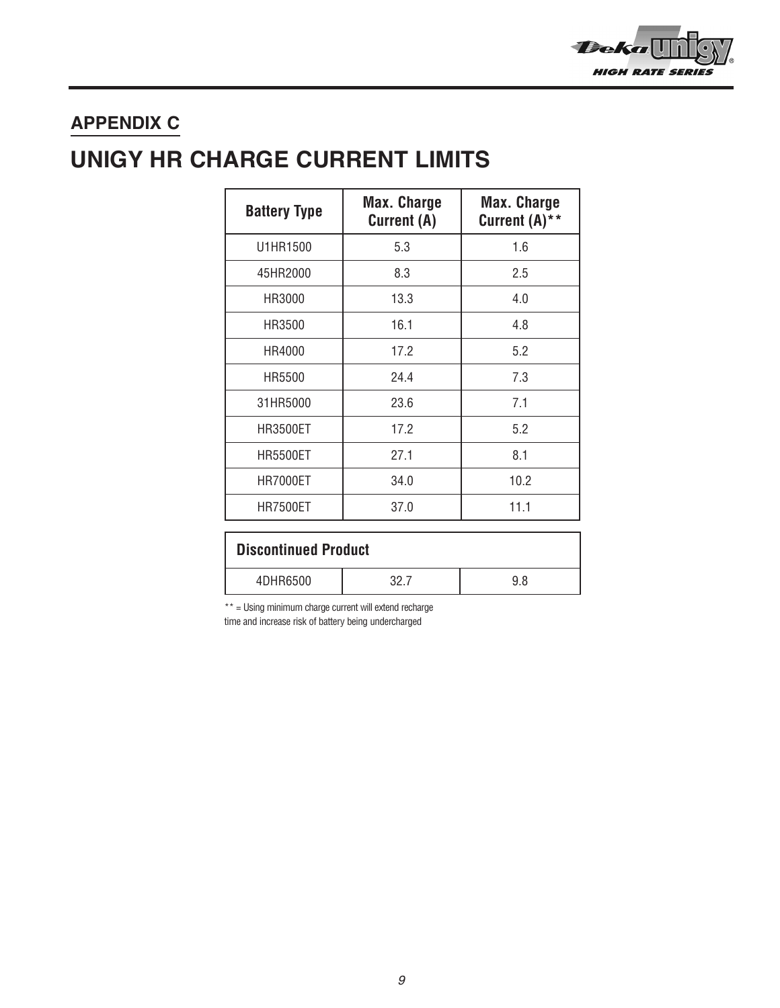

### **APPENDIX C**

# **UNIGY HR CHARGE CURRENT LIMITS**

| <b>Battery Type</b> | Max. Charge<br><b>Current (A)</b> | Max. Charge<br>Current (A)** |  |  |  |  |
|---------------------|-----------------------------------|------------------------------|--|--|--|--|
| U1HR1500            | 5.3                               | 1.6                          |  |  |  |  |
| 45HR2000            | 8.3                               | 2.5                          |  |  |  |  |
| HR3000              | 13.3                              | 4.0                          |  |  |  |  |
| HR3500              | 16.1                              | 4.8                          |  |  |  |  |
| HR4000              | 17.2                              | 5.2                          |  |  |  |  |
| HR5500              | 24.4                              | 7.3                          |  |  |  |  |
| 31HR5000            | 23.6                              | 7.1                          |  |  |  |  |
| <b>HR3500ET</b>     | 17.2                              | 5.2                          |  |  |  |  |
| <b>HR5500ET</b>     | 27.1                              | 8.1                          |  |  |  |  |
| HR7000ET            | 34.0                              | 10.2                         |  |  |  |  |
| <b>HR7500ET</b>     | 37.0                              | 11.1                         |  |  |  |  |

| <b>Discontinued Product</b> |      |     |
|-----------------------------|------|-----|
| 4DHR6500                    | ד מפ | 9 R |

\*\* = Using minimum charge current will extend recharge

time and increase risk of battery being undercharged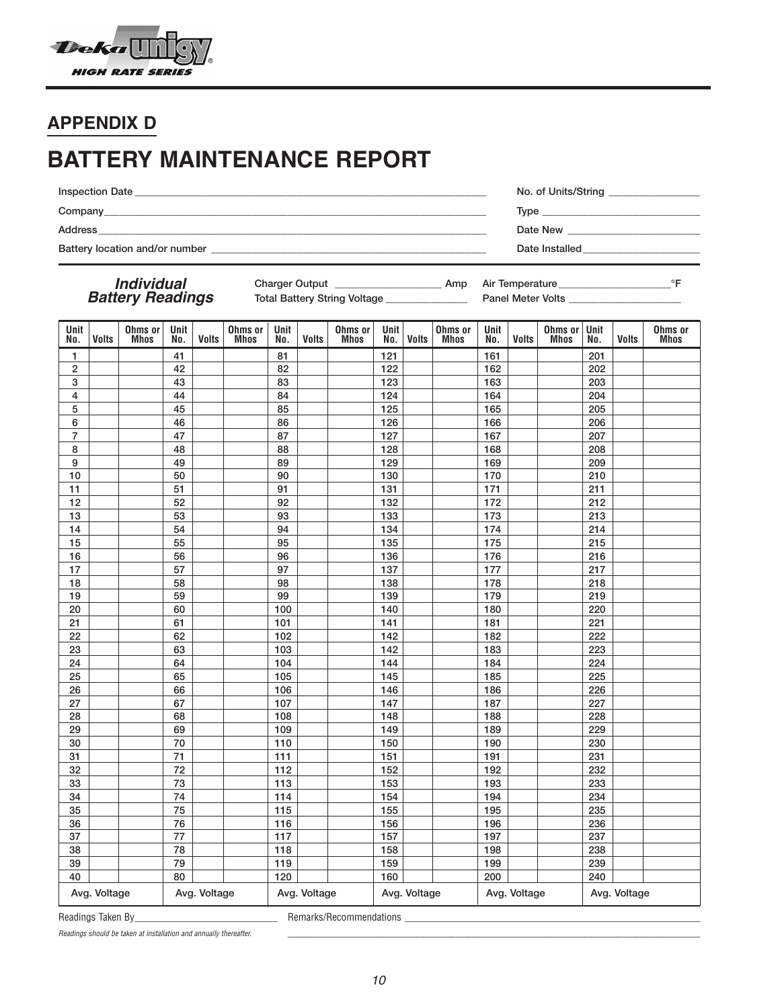

### **APPENDIX D**

# **BATTERY MAINTENANCE REPORT**

| Inspection Date                | No. of Units/String |
|--------------------------------|---------------------|
| Company                        | Type                |
| Address                        | Date New            |
| Battery location and/or number | Date Installed      |

| <b>Individual</b><br><b>Battery Readings</b> |              |                        |             | Total Battery String Voltage _______________ |                        |             |              |                        |             |              | $\circ$ F<br>Panel Meter Volts ______________ |             |              |                        |             |              |                 |
|----------------------------------------------|--------------|------------------------|-------------|----------------------------------------------|------------------------|-------------|--------------|------------------------|-------------|--------------|-----------------------------------------------|-------------|--------------|------------------------|-------------|--------------|-----------------|
| Unit<br>No.                                  | <b>Volts</b> | Ohms or<br><b>Mhos</b> | Unit<br>No. | <b>Volts</b>                                 | Ohms or<br><b>Mhos</b> | Unit<br>No. | <b>Volts</b> | Ohms or<br><b>Mhos</b> | Unit<br>No. | <b>Volts</b> | Ohms or<br><b>Mhos</b>                        | Unit<br>No. | <b>Volts</b> | Ohms or<br><b>Mhos</b> | Unit<br>No. | <b>Volts</b> | Ohms or<br>Mhos |
| 1                                            |              |                        | 41          |                                              |                        | 81          |              |                        | 121         |              |                                               | 161         |              |                        | 201         |              |                 |
| $\overline{\mathbf{c}}$                      |              |                        | 42          |                                              |                        | 82          |              |                        | 122         |              |                                               | 162         |              |                        | 202         |              |                 |
| 3                                            |              |                        | 43          |                                              |                        | 83          |              |                        | 123         |              |                                               | 163         |              |                        | 203         |              |                 |
| 4                                            |              |                        | 44          |                                              |                        | 84          |              |                        | 124         |              |                                               | 164         |              |                        | 204         |              |                 |
| 5                                            |              |                        | 45          |                                              |                        | 85          |              |                        | 125         |              |                                               | 165         |              |                        | 205         |              |                 |
| 6<br>7                                       |              |                        | 46<br>47    |                                              |                        | 86<br>87    |              |                        | 126<br>127  |              |                                               | 166<br>167  |              |                        | 206<br>207  |              |                 |
| 8                                            |              |                        | 48          |                                              |                        | 88          |              |                        | 128         |              |                                               | 168         |              |                        | 208         |              |                 |
| 9                                            |              |                        | 49          |                                              |                        | 89          |              |                        | 129         |              |                                               | 169         |              |                        | 209         |              |                 |
| 10                                           |              |                        | 50          |                                              |                        | 90          |              |                        | 130         |              |                                               | 170         |              |                        | 210         |              |                 |
| 11                                           |              |                        | 51          |                                              |                        | 91          |              |                        | 131         |              |                                               | 171         |              |                        | 211         |              |                 |
| 12                                           |              |                        | 52          |                                              |                        | 92          |              |                        | 132         |              |                                               | 172         |              |                        | 212         |              |                 |
| 13                                           |              |                        | 53          |                                              |                        | 93          |              |                        | 133         |              |                                               | 173         |              |                        | 213         |              |                 |
| 14                                           |              |                        | 54          |                                              |                        | 94          |              |                        | 134         |              |                                               | 174         |              |                        | 214         |              |                 |
| 15                                           |              |                        | 55          |                                              |                        | 95          |              |                        | 135         |              |                                               | 175         |              |                        | 215         |              |                 |
| 16                                           |              |                        | 56          |                                              |                        | 96          |              |                        | 136         |              |                                               | 176         |              |                        | 216         |              |                 |
| 17<br>18                                     |              |                        | 57<br>58    |                                              |                        | 97<br>98    |              |                        | 137<br>138  |              |                                               | 177<br>178  |              |                        | 217<br>218  |              |                 |
| 19                                           |              |                        | 59          |                                              |                        | 99          |              |                        | 139         |              |                                               | 179         |              |                        | 219         |              |                 |
| 20                                           |              |                        | 60          |                                              |                        | 100         |              |                        | 140         |              |                                               | 180         |              |                        | 220         |              |                 |
| 21                                           |              |                        | 61          |                                              |                        | 101         |              |                        | 141         |              |                                               | 181         |              |                        | 221         |              |                 |
| 22                                           |              |                        | 62          |                                              |                        | 102         |              |                        | 142         |              |                                               | 182         |              |                        | 222         |              |                 |
| 23                                           |              |                        | 63          |                                              |                        | 103         |              |                        | 142         |              |                                               | 183         |              |                        | 223         |              |                 |
| 24                                           |              |                        | 64          |                                              |                        | 104         |              |                        | 144         |              |                                               | 184         |              |                        | 224         |              |                 |
| 25                                           |              |                        | 65          |                                              |                        | 105         |              |                        | 145         |              |                                               | 185         |              |                        | 225         |              |                 |
| 26                                           |              |                        | 66          |                                              |                        | 106         |              |                        | 146         |              |                                               | 186         |              |                        | 226         |              |                 |
| 27                                           |              |                        | 67          |                                              |                        | 107         |              |                        | 147         |              |                                               | 187         |              |                        | 227         |              |                 |
| 28                                           |              |                        | 68<br>69    |                                              |                        | 108<br>109  |              |                        | 148<br>149  |              |                                               | 188<br>189  |              |                        | 228<br>229  |              |                 |
| 29<br>30                                     |              |                        | 70          |                                              |                        | 110         |              |                        | 150         |              |                                               | 190         |              |                        | 230         |              |                 |
| 31                                           |              |                        | 71          |                                              |                        | 111         |              |                        | 151         |              |                                               | 191         |              |                        | 231         |              |                 |
| 32                                           |              |                        | 72          |                                              |                        | 112         |              |                        | 152         |              |                                               | 192         |              |                        | 232         |              |                 |
| 33                                           |              |                        | 73          |                                              |                        | 113         |              |                        | 153         |              |                                               | 193         |              |                        | 233         |              |                 |
| 34                                           |              |                        | 74          |                                              |                        | 114         |              |                        | 154         |              |                                               | 194         |              |                        | 234         |              |                 |
| 35                                           |              |                        | 75          |                                              |                        | 115         |              |                        | 155         |              |                                               | 195         |              |                        | 235         |              |                 |
| 36                                           |              |                        | 76          |                                              |                        | 116         |              |                        | 156         |              |                                               | 196         |              |                        | 236         |              |                 |
| 37                                           |              |                        | 77          |                                              |                        | 117         |              |                        | 157         |              |                                               | 197         |              |                        | 237         |              |                 |
| 38                                           |              |                        | 78          |                                              |                        | 118         |              |                        | 158         |              |                                               | 198         |              |                        | 238         |              |                 |
| 39                                           |              |                        | 79          |                                              |                        | 119         |              |                        | 159         |              |                                               | 199         |              |                        | 239         |              |                 |
| 40                                           |              |                        | 80          |                                              |                        | 120         |              |                        | 160         |              |                                               | 200         |              |                        | 240         |              |                 |
|                                              | Avg. Voltage |                        |             | Avg. Voltage                                 |                        |             | Avg. Voltage |                        |             | Avg. Voltage |                                               |             | Avg. Voltage |                        |             | Avg. Voltage |                 |

Readings Taken By\_\_\_\_\_\_\_\_\_\_\_\_\_\_\_\_\_\_\_\_\_\_\_\_\_\_\_\_ Remarks/Recommendations \_\_\_\_\_\_\_\_\_\_\_\_\_\_\_\_\_\_\_\_\_\_\_\_\_\_\_\_\_\_\_\_\_\_\_\_\_\_\_\_\_\_\_\_\_\_\_\_\_\_\_\_\_\_\_\_\_\_

Readings should be taken at installation and annually thereafter.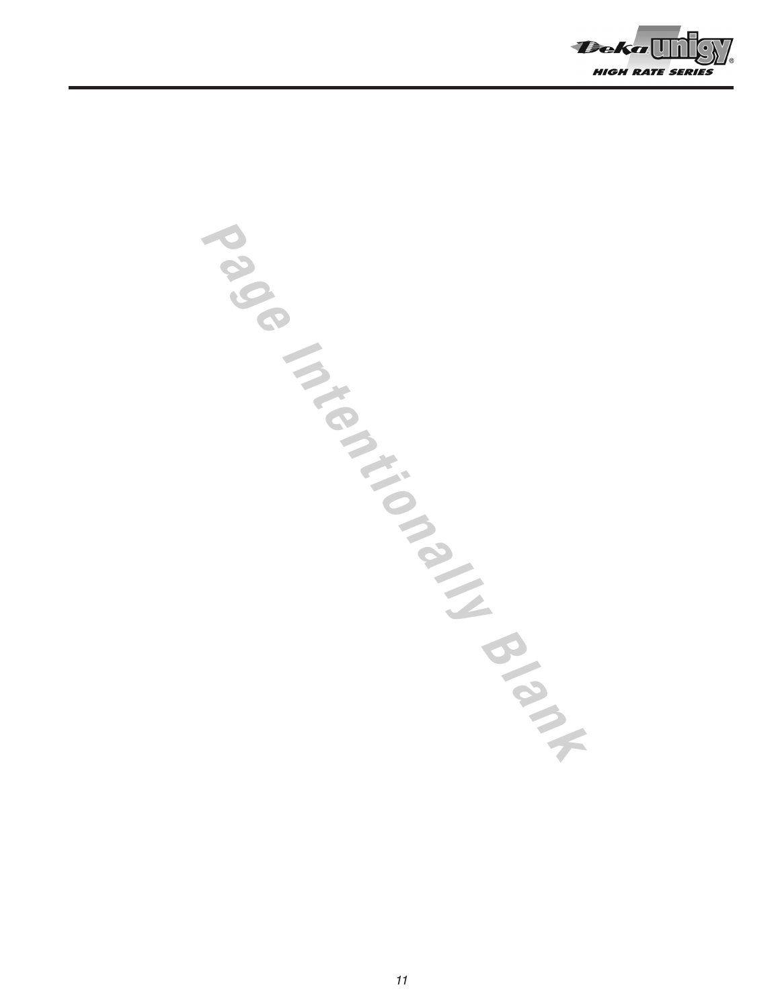

**Page Intentional Blank**